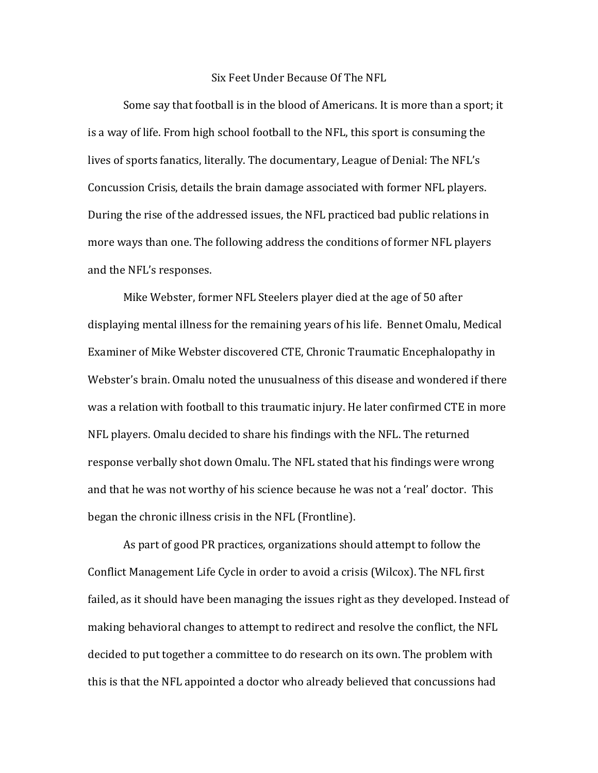## Six Feet Under Because Of The NFL

Some say that football is in the blood of Americans. It is more than a sport; it is a way of life. From high school football to the NFL, this sport is consuming the lives of sports fanatics, literally. The documentary, League of Denial: The NFL's Concussion Crisis, details the brain damage associated with former NFL players. During the rise of the addressed issues, the NFL practiced bad public relations in more ways than one. The following address the conditions of former NFL players and the NFL's responses.

Mike Webster, former NFL Steelers player died at the age of 50 after displaying mental illness for the remaining years of his life. Bennet Omalu, Medical Examiner of Mike Webster discovered CTE, Chronic Traumatic Encephalopathy in Webster's brain. Omalu noted the unusualness of this disease and wondered if there was a relation with football to this traumatic injury. He later confirmed CTE in more NFL players. Omalu decided to share his findings with the NFL. The returned response verbally shot down Omalu. The NFL stated that his findings were wrong and that he was not worthy of his science because he was not a 'real' doctor. This began the chronic illness crisis in the NFL (Frontline).

As part of good PR practices, organizations should attempt to follow the Conflict Management Life Cycle in order to avoid a crisis (Wilcox). The NFL first failed, as it should have been managing the issues right as they developed. Instead of making behavioral changes to attempt to redirect and resolve the conflict, the NFL decided to put together a committee to do research on its own. The problem with this is that the NFL appointed a doctor who already believed that concussions had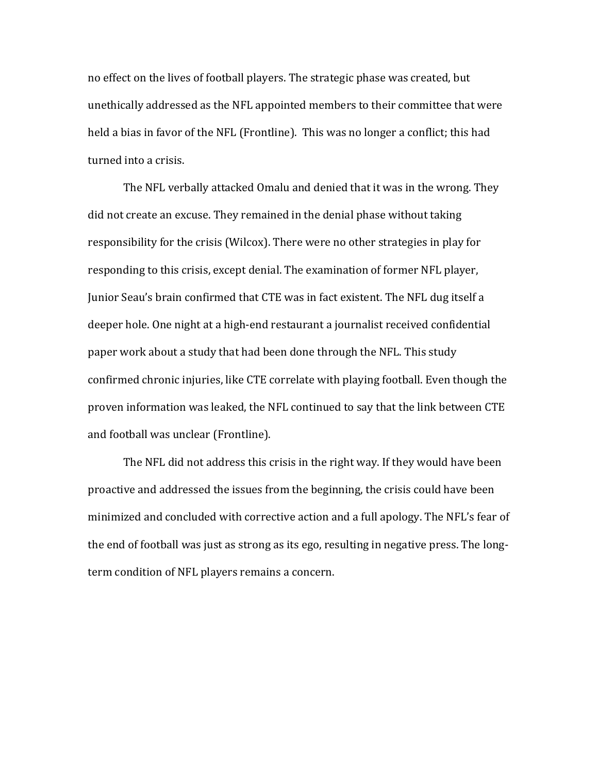no effect on the lives of football players. The strategic phase was created, but unethically addressed as the NFL appointed members to their committee that were held a bias in favor of the NFL (Frontline). This was no longer a conflict; this had turned into a crisis.

The NFL verbally attacked Omalu and denied that it was in the wrong. They did not create an excuse. They remained in the denial phase without taking responsibility for the crisis (Wilcox). There were no other strategies in play for responding to this crisis, except denial. The examination of former NFL player, Junior Seau's brain confirmed that CTE was in fact existent. The NFL dug itself a deeper hole. One night at a high-end restaurant a journalist received confidential paper work about a study that had been done through the NFL. This study confirmed chronic injuries, like CTE correlate with playing football. Even though the proven information was leaked, the NFL continued to say that the link between CTE and football was unclear (Frontline).

The NFL did not address this crisis in the right way. If they would have been proactive and addressed the issues from the beginning, the crisis could have been minimized and concluded with corrective action and a full apology. The NFL's fear of the end of football was just as strong as its ego, resulting in negative press. The longterm condition of NFL players remains a concern.